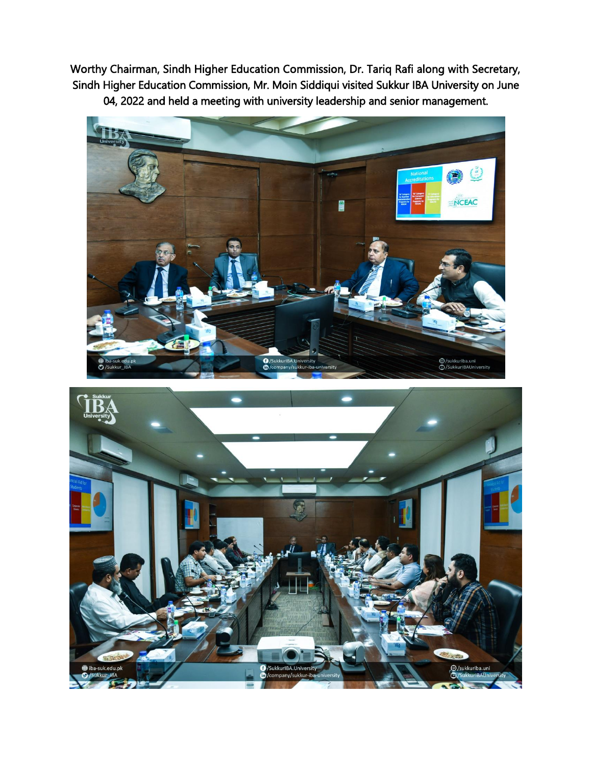Worthy Chairman, Sindh Higher Education Commission, Dr. Tariq Rafi along with Secretary, Sindh Higher Education Commission, Mr. Moin Siddiqui visited Sukkur IBA University on June 04, 2022 and held a meeting with university leadership and senior management.